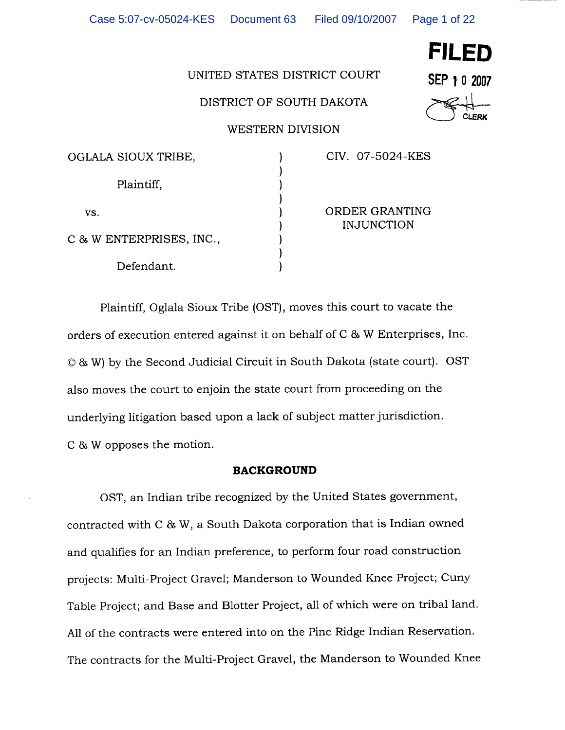Page 1 of 22

# UNITED STATES DISTRICT COURT

# DISTRICT OF SOUTH DAKOTA

**WESTERN DIVISION** 

| SEP 1 0 2007 |                      |              |
|--------------|----------------------|--------------|
|              | $\not\in\mathcal{H}$ |              |
|              |                      | <b>CLERK</b> |

**FILED** 

| OGLALA SIOUX TRIBE,      |  |
|--------------------------|--|
| Plaintiff,               |  |
| VS.                      |  |
| C & W ENTERPRISES, INC., |  |
| Defendant.               |  |

CIV. 07-5024-KES

ORDER GRANTING **INJUNCTION** 

Plaintiff, Oglala Sioux Tribe (OST), moves this court to vacate the orders of execution entered against it on behalf of C & W Enterprises, Inc. © & W) by the Second Judicial Circuit in South Dakota (state court). OST also moves the court to enjoin the state court from proceeding on the underlying litigation based upon a lack of subject matter jurisdiction. C & W opposes the motion.

# **BACKGROUND**

OST, an Indian tribe recognized by the United States government, contracted with C & W, a South Dakota corporation that is Indian owned and qualifies for an Indian preference, to perform four road construction projects: Multi-Project Gravel; Manderson to Wounded Knee Project; Cuny Table Project; and Base and Blotter Project, all of which were on tribal land. All of the contracts were entered into on the Pine Ridge Indian Reservation. The contracts for the Multi-Project Gravel, the Manderson to Wounded Knee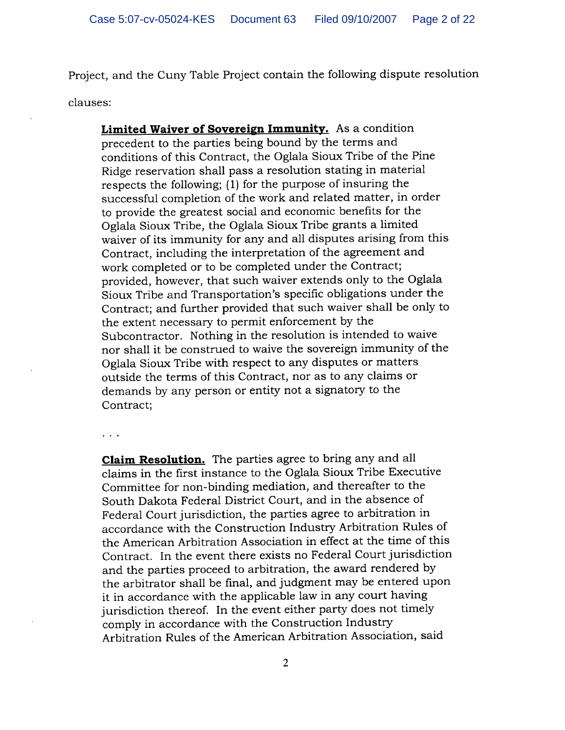Project, and the Cuny Table Project contain the following dispute resolution clauses:

Limited Waiver of Sovereign Immunity. As a condition precedent to the parties being bound by the terms and conditions of this Contract, the Oglala Sioux Tribe of the Pine Ridge reservation shall pass a resolution stating in material respects the following; (1) for the purpose of insuring the successful completion of the work and related matter, in order to provide the greatest social and economic benefits for the Oglala Sioux Tribe, the Oglala Sioux Tribe grants a limited waiver of its immunity for any and all disputes arising from this Contract, including the interpretation of the agreement and work completed or to be completed under the Contract; provided, however, that such waiver extends only to the Oglala Sioux Tribe and Transportation's specific obligations under the Contract; and further provided that such waiver shall be only to the extent necessary to permit enforcement by the Subcontractor. Nothing in the resolution is intended to waive nor shall it be construed to waive the sovereign immunity of the Oglala Sioux Tribe with respect to any disputes or matters outside the terms of this Contract, nor as to any claims or demands by any person or entity not a signatory to the Contract;

 $\sim$   $\sim$   $\sim$ 

**Claim Resolution.** The parties agree to bring any and all claims in the first instance to the Oglala Sioux Tribe Executive Committee for non-binding mediation, and thereafter to the South Dakota Federal District Court, and in the absence of Federal Court jurisdiction, the parties agree to arbitration in accordance with the Construction Industry Arbitration Rules of the American Arbitration Association in effect at the time of this Contract. In the event there exists no Federal Court jurisdiction and the parties proceed to arbitration, the award rendered by the arbitrator shall be final, and judgment may be entered upon it in accordance with the applicable law in any court having jurisdiction thereof. In the event either party does not timely comply in accordance with the Construction Industry Arbitration Rules of the American Arbitration Association, said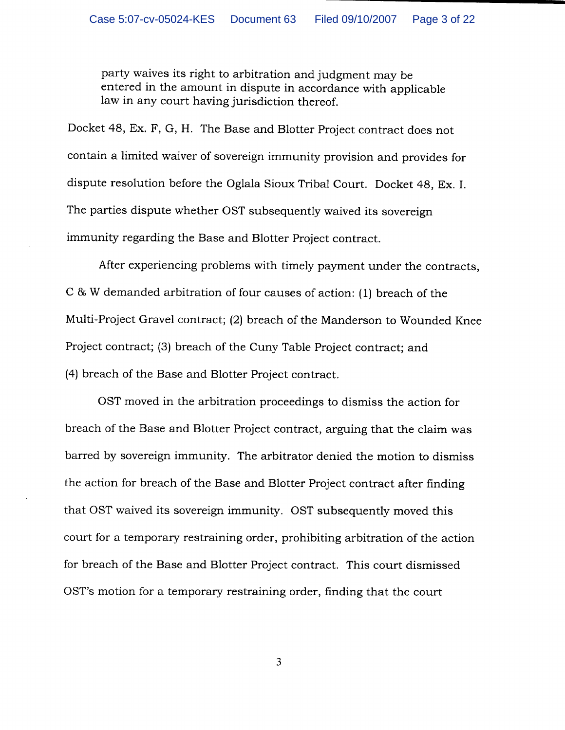party waives its right to arbitration and judgment may be entered in the amount in dispute in accordance with applicable law in any court having jurisdiction thereof.

Docket 48, Ex. F, G, H. The Base and Blotter Project contract does not contain a limited waiver of sovereign immunity provision and provides for dispute resolution before the Oglala Sioux Tribal Court. Docket 48, Ex. I. The parties dispute whether OST subsequently waived its sovereign immunity regarding the Base and Blotter Project contract.

After experiencing problems with timely payment under the contracts, C & W demanded arbitration of four causes of action: (1) breach of the Multi-Project Gravel contract; (2) breach of the Manderson to Wounded Knee Project contract; (3) breach of the Cuny Table Project contract; and (4) breach of the Base and Blotter Project contract.

OST moved in the arbitration proceedings to dismiss the action for breach of the Base and Blotter Project contract, arguing that the claim was barred by sovereign immunity. The arbitrator denied the motion to dismiss the action for breach of the Base and Blotter Project contract after finding that OST waived its sovereign immunity. OST subsequently moved this court for a temporary restraining order, prohibiting arbitration of the action for breach of the Base and Blotter Project contract. This court dismissed OST's motion for a temporary restraining order, finding that the court

 $\overline{3}$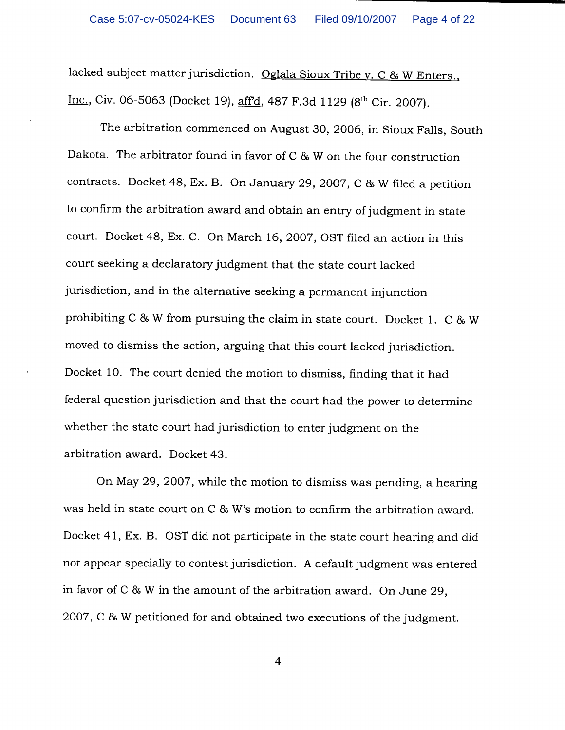lacked subject matter jurisdiction. Oglala Sioux Tribe v. C & W Enters., Inc., Civ. 06-5063 (Docket 19), aff'd, 487 F.3d 1129 (8th Cir. 2007).

The arbitration commenced on August 30, 2006, in Sioux Falls, South Dakota. The arbitrator found in favor of C & W on the four construction contracts. Docket 48, Ex. B. On January 29, 2007, C & W filed a petition to confirm the arbitration award and obtain an entry of judgment in state court. Docket 48, Ex. C. On March 16, 2007, OST filed an action in this court seeking a declaratory judgment that the state court lacked jurisdiction, and in the alternative seeking a permanent injunction prohibiting C & W from pursuing the claim in state court. Docket 1. C & W moved to dismiss the action, arguing that this court lacked jurisdiction. Docket 10. The court denied the motion to dismiss, finding that it had federal question jurisdiction and that the court had the power to determine whether the state court had jurisdiction to enter judgment on the arbitration award. Docket 43.

On May 29, 2007, while the motion to dismiss was pending, a hearing was held in state court on C & W's motion to confirm the arbitration award. Docket 41, Ex. B. OST did not participate in the state court hearing and did not appear specially to contest jurisdiction. A default judgment was entered in favor of C & W in the amount of the arbitration award. On June 29, 2007, C & W petitioned for and obtained two executions of the judgment.

 $\overline{\mathbf{4}}$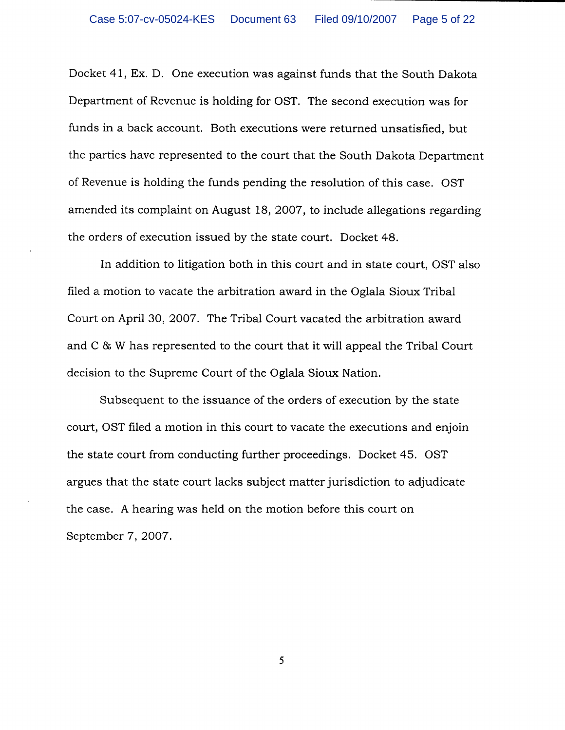Docket 41, Ex. D. One execution was against funds that the South Dakota Department of Revenue is holding for OST. The second execution was for funds in a back account. Both executions were returned unsatisfied, but the parties have represented to the court that the South Dakota Department of Revenue is holding the funds pending the resolution of this case. OST amended its complaint on August 18, 2007, to include allegations regarding the orders of execution issued by the state court. Docket 48.

In addition to litigation both in this court and in state court, OST also filed a motion to vacate the arbitration award in the Oglala Sioux Tribal Court on April 30, 2007. The Tribal Court vacated the arbitration award and C & W has represented to the court that it will appeal the Tribal Court decision to the Supreme Court of the Oglala Sioux Nation.

Subsequent to the issuance of the orders of execution by the state court, OST filed a motion in this court to vacate the executions and enjoin the state court from conducting further proceedings. Docket 45. OST argues that the state court lacks subject matter jurisdiction to adjudicate the case. A hearing was held on the motion before this court on September 7, 2007.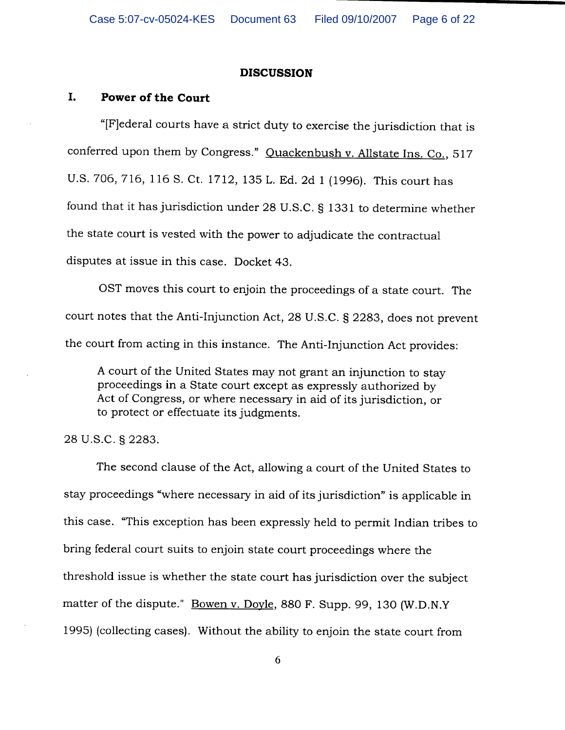# **DISCUSSION**

## I. **Power of the Court**

"[F] ederal courts have a strict duty to exercise the jurisdiction that is conferred upon them by Congress." Quackenbush v. Allstate Ins. Co., 517 U.S. 706, 716, 116 S. Ct. 1712, 135 L. Ed. 2d 1 (1996). This court has found that it has jurisdiction under 28 U.S.C. § 1331 to determine whether the state court is vested with the power to adjudicate the contractual disputes at issue in this case. Docket 43.

OST moves this court to enjoin the proceedings of a state court. The court notes that the Anti-Injunction Act, 28 U.S.C. § 2283, does not prevent the court from acting in this instance. The Anti-Injunction Act provides:

A court of the United States may not grant an injunction to stay proceedings in a State court except as expressly authorized by Act of Congress, or where necessary in aid of its jurisdiction, or to protect or effectuate its judgments.

# 28 U.S.C. § 2283.

The second clause of the Act, allowing a court of the United States to stay proceedings "where necessary in aid of its jurisdiction" is applicable in this case. "This exception has been expressly held to permit Indian tribes to bring federal court suits to enjoin state court proceedings where the threshold issue is whether the state court has jurisdiction over the subject matter of the dispute." Bowen v. Doyle, 880 F. Supp. 99, 130 (W.D.N.Y) 1995) (collecting cases). Without the ability to enjoin the state court from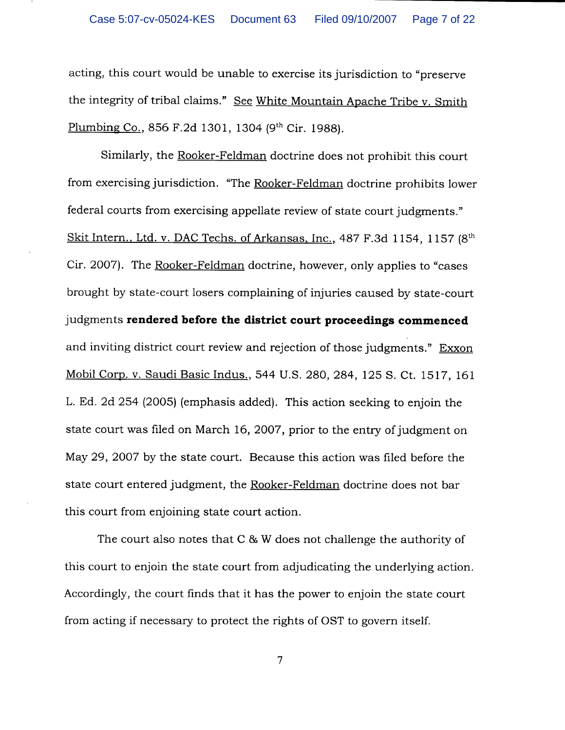acting, this court would be unable to exercise its jurisdiction to "preserve" the integrity of tribal claims." See White Mountain Apache Tribe v. Smith Plumbing Co., 856 F.2d 1301, 1304 (9th Cir. 1988).

Similarly, the Rooker-Feldman doctrine does not prohibit this court from exercising jurisdiction. "The Rooker-Feldman doctrine prohibits lower federal courts from exercising appellate review of state court judgments." Skit Intern., Ltd. v. DAC Techs. of Arkansas, Inc., 487 F.3d 1154, 1157 (8<sup>th</sup>) Cir. 2007). The Rooker-Feldman doctrine, however, only applies to "cases" brought by state-court losers complaining of injuries caused by state-court judgments rendered before the district court proceedings commenced and inviting district court review and rejection of those judgments." Exxon Mobil Corp. v. Saudi Basic Indus., 544 U.S. 280, 284, 125 S. Ct. 1517, 161 L. Ed. 2d 254 (2005) (emphasis added). This action seeking to enjoin the state court was filed on March 16, 2007, prior to the entry of judgment on May 29, 2007 by the state court. Because this action was filed before the state court entered judgment, the Rooker-Feldman doctrine does not bar this court from enjoining state court action.

The court also notes that  $C & W$  does not challenge the authority of this court to enjoin the state court from adjudicating the underlying action. Accordingly, the court finds that it has the power to enjoin the state court from acting if necessary to protect the rights of OST to govern itself.

 $\overline{7}$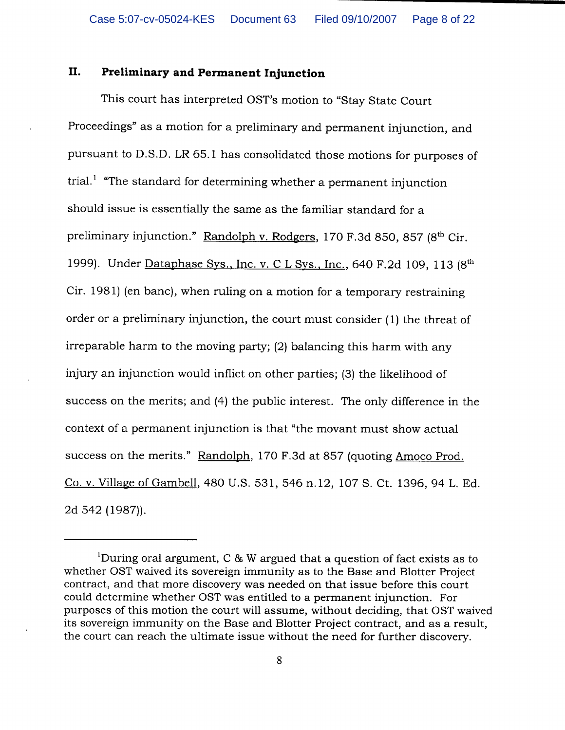## II. **Preliminary and Permanent Injunction**

This court has interpreted OST's motion to "Stay State Court" Proceedings" as a motion for a preliminary and permanent injunction, and pursuant to D.S.D. LR 65.1 has consolidated those motions for purposes of trial.<sup>1</sup> "The standard for determining whether a permanent injunction should issue is essentially the same as the familiar standard for a preliminary injunction." Randolph v. Rodgers, 170 F.3d 850, 857 (8<sup>th</sup> Cir. 1999). Under Dataphase Sys., Inc. v. C L Sys., Inc., 640 F.2d 109, 113 (8th Cir. 1981) (en banc), when ruling on a motion for a temporary restraining order or a preliminary injunction, the court must consider (1) the threat of irreparable harm to the moving party; (2) balancing this harm with any injury an injunction would inflict on other parties; (3) the likelihood of success on the merits; and (4) the public interest. The only difference in the context of a permanent injunction is that "the movant must show actual success on the merits." Randolph, 170 F.3d at 857 (quoting Amoco Prod. Co. v. Village of Gambell, 480 U.S. 531, 546 n.12, 107 S. Ct. 1396, 94 L. Ed. 2d 542 (1987)).

<sup>&</sup>lt;sup>1</sup>During oral argument, C & W argued that a question of fact exists as to whether OST waived its sovereign immunity as to the Base and Blotter Project contract, and that more discovery was needed on that issue before this court could determine whether OST was entitled to a permanent injunction. For purposes of this motion the court will assume, without deciding, that OST waived its sovereign immunity on the Base and Blotter Project contract, and as a result, the court can reach the ultimate issue without the need for further discovery.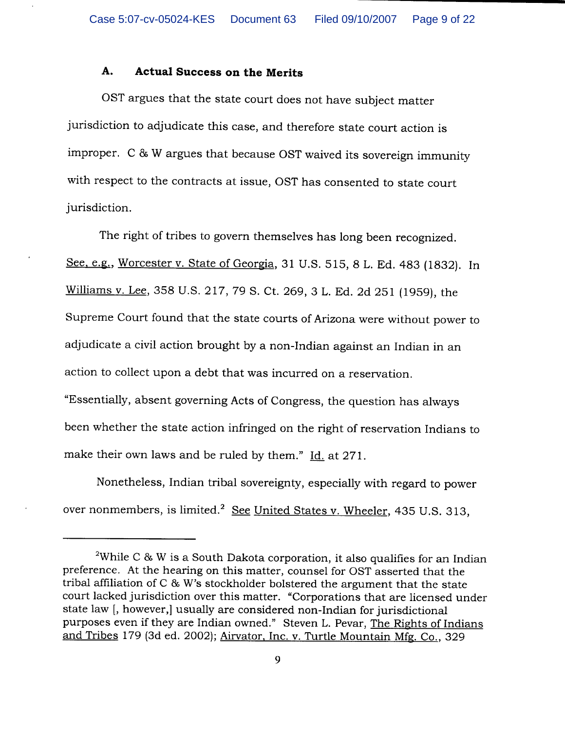### A. **Actual Success on the Merits**

OST argues that the state court does not have subject matter jurisdiction to adjudicate this case, and therefore state court action is improper. C & W argues that because OST waived its sovereign immunity with respect to the contracts at issue, OST has consented to state court jurisdiction.

The right of tribes to govern themselves has long been recognized. See, e.g., Worcester v. State of Georgia, 31 U.S. 515, 8 L. Ed. 483 (1832). In Williams v. Lee, 358 U.S. 217, 79 S. Ct. 269, 3 L. Ed. 2d 251 (1959), the Supreme Court found that the state courts of Arizona were without power to adjudicate a civil action brought by a non-Indian against an Indian in an action to collect upon a debt that was incurred on a reservation. "Essentially, absent governing Acts of Congress, the question has always been whether the state action infringed on the right of reservation Indians to make their own laws and be ruled by them." Id. at 271.

Nonetheless, Indian tribal sovereignty, especially with regard to power over nonmembers, is limited.<sup>2</sup> See United States v. Wheeler, 435 U.S. 313,

<sup>&</sup>lt;sup>2</sup>While C & W is a South Dakota corporation, it also qualifies for an Indian preference. At the hearing on this matter, counsel for OST asserted that the tribal affiliation of C & W's stockholder bolstered the argument that the state court lacked jurisdiction over this matter. "Corporations that are licensed under state law [, however,] usually are considered non-Indian for jurisdictional purposes even if they are Indian owned." Steven L. Pevar, The Rights of Indians and Tribes 179 (3d ed. 2002); Airvator, Inc. v. Turtle Mountain Mfg. Co., 329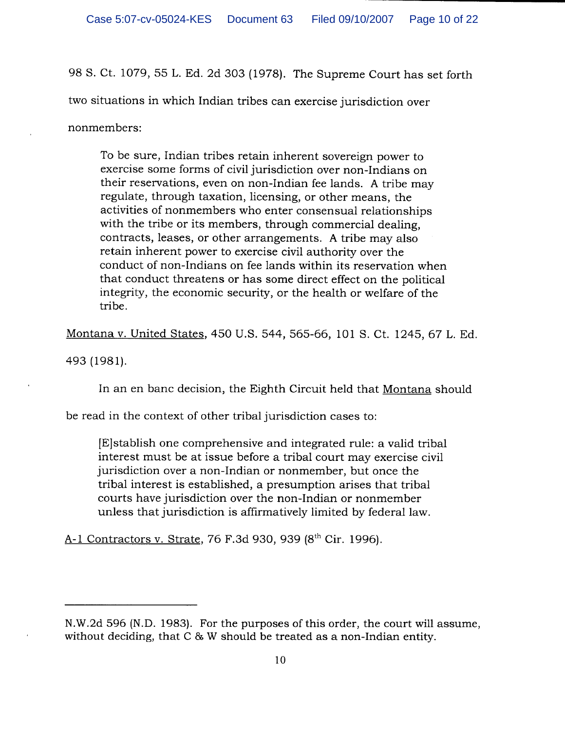98 S. Ct. 1079, 55 L. Ed. 2d 303 (1978). The Supreme Court has set forth

two situations in which Indian tribes can exercise jurisdiction over

nonmembers:

To be sure, Indian tribes retain inherent sovereign power to exercise some forms of civil jurisdiction over non-Indians on their reservations, even on non-Indian fee lands. A tribe may regulate, through taxation, licensing, or other means, the activities of nonmembers who enter consensual relationships with the tribe or its members, through commercial dealing. contracts, leases, or other arrangements. A tribe may also retain inherent power to exercise civil authority over the conduct of non-Indians on fee lands within its reservation when that conduct threatens or has some direct effect on the political integrity, the economic security, or the health or welfare of the tribe.

Montana v. United States, 450 U.S. 544, 565-66, 101 S. Ct. 1245, 67 L. Ed.

493 (1981).

In an en banc decision, the Eighth Circuit held that Montana should

be read in the context of other tribal jurisdiction cases to:

E stablish one comprehensive and integrated rule: a valid tribal interest must be at issue before a tribal court may exercise civil jurisdiction over a non-Indian or nonmember, but once the tribal interest is established, a presumption arises that tribal courts have jurisdiction over the non-Indian or nonmember unless that jurisdiction is affirmatively limited by federal law.

A-1 Contractors v. Strate, 76 F.3d 930, 939 (8th Cir. 1996).

N.W.2d 596 (N.D. 1983). For the purposes of this order, the court will assume, without deciding, that C & W should be treated as a non-Indian entity.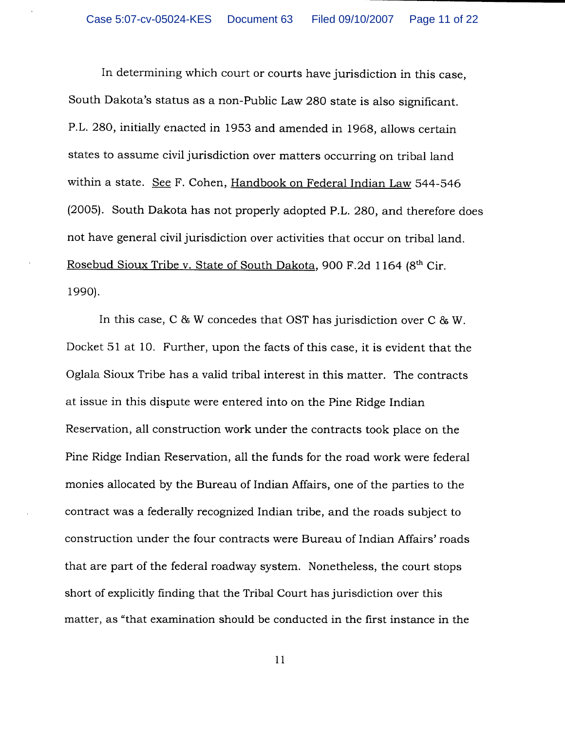In determining which court or courts have jurisdiction in this case, South Dakota's status as a non-Public Law 280 state is also significant. P.L. 280, initially enacted in 1953 and amended in 1968, allows certain states to assume civil jurisdiction over matters occurring on tribal land within a state. See F. Cohen, Handbook on Federal Indian Law 544-546 (2005). South Dakota has not properly adopted P.L. 280, and therefore does not have general civil jurisdiction over activities that occur on tribal land. Rosebud Sioux Tribe v. State of South Dakota, 900 F.2d 1164 (8th Cir. 1990).

In this case, C & W concedes that OST has jurisdiction over C & W. Docket 51 at 10. Further, upon the facts of this case, it is evident that the Oglala Sioux Tribe has a valid tribal interest in this matter. The contracts at issue in this dispute were entered into on the Pine Ridge Indian Reservation, all construction work under the contracts took place on the Pine Ridge Indian Reservation, all the funds for the road work were federal monies allocated by the Bureau of Indian Affairs, one of the parties to the contract was a federally recognized Indian tribe, and the roads subject to construction under the four contracts were Bureau of Indian Affairs' roads that are part of the federal roadway system. Nonetheless, the court stops short of explicitly finding that the Tribal Court has jurisdiction over this matter, as "that examination should be conducted in the first instance in the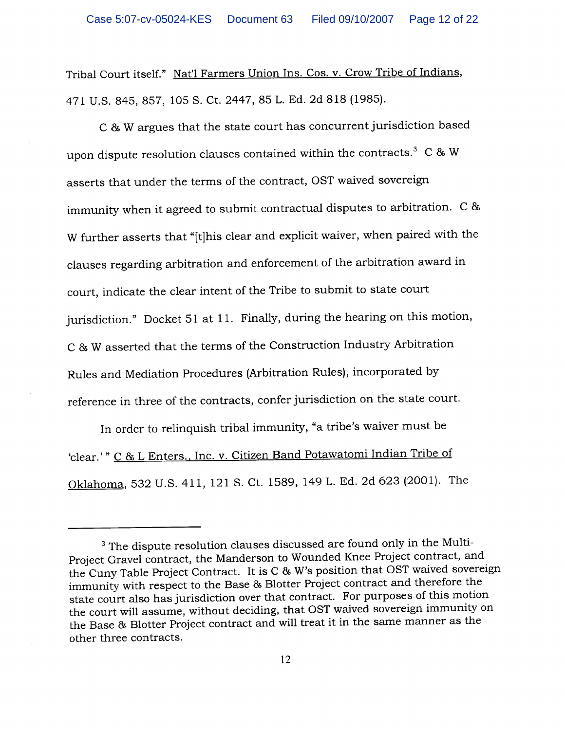Tribal Court itself." Nat'l Farmers Union Ins. Cos. v. Crow Tribe of Indians, 471 U.S. 845, 857, 105 S. Ct. 2447, 85 L. Ed. 2d 818 (1985).

C & W argues that the state court has concurrent jurisdiction based upon dispute resolution clauses contained within the contracts. $3 \text{ } C \text{ } \& \text{ } W$ asserts that under the terms of the contract, OST waived sovereign immunity when it agreed to submit contractual disputes to arbitration. C & W further asserts that "[t]his clear and explicit waiver, when paired with the clauses regarding arbitration and enforcement of the arbitration award in court, indicate the clear intent of the Tribe to submit to state court jurisdiction." Docket 51 at 11. Finally, during the hearing on this motion, C & W asserted that the terms of the Construction Industry Arbitration Rules and Mediation Procedures (Arbitration Rules), incorporated by reference in three of the contracts, confer jurisdiction on the state court.

In order to relinquish tribal immunity, "a tribe's waiver must be 'clear.'" C & L Enters., Inc. v. Citizen Band Potawatomi Indian Tribe of Oklahoma, 532 U.S. 411, 121 S. Ct. 1589, 149 L. Ed. 2d 623 (2001). The

<sup>&</sup>lt;sup>3</sup> The dispute resolution clauses discussed are found only in the Multi-Project Gravel contract, the Manderson to Wounded Knee Project contract, and the Cuny Table Project Contract. It is C & W's position that OST waived sovereign immunity with respect to the Base & Blotter Project contract and therefore the state court also has jurisdiction over that contract. For purposes of this motion the court will assume, without deciding, that OST waived sovereign immunity on the Base & Blotter Project contract and will treat it in the same manner as the other three contracts.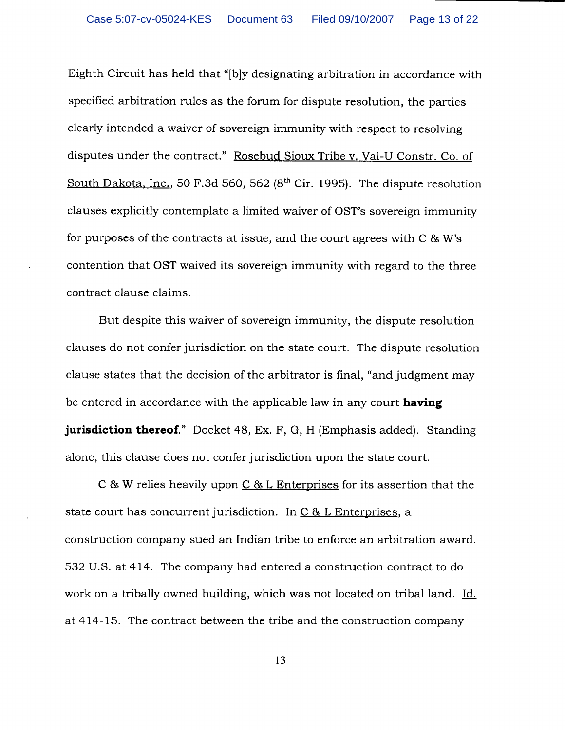Eighth Circuit has held that "[b]y designating arbitration in accordance with specified arbitration rules as the forum for dispute resolution, the parties clearly intended a waiver of sovereign immunity with respect to resolving disputes under the contract." Rosebud Sioux Tribe v. Val-U Constr. Co. of South Dakota, Inc., 50 F.3d 560, 562  $(8<sup>th</sup>$  Cir. 1995). The dispute resolution clauses explicitly contemplate a limited waiver of OST's sovereign immunity for purposes of the contracts at issue, and the court agrees with  $C \& W$ 's contention that OST waived its sovereign immunity with regard to the three contract clause claims.

But despite this waiver of sovereign immunity, the dispute resolution clauses do not confer jurisdiction on the state court. The dispute resolution clause states that the decision of the arbitrator is final, "and judgment may be entered in accordance with the applicable law in any court having **jurisdiction thereof.**" Docket 48, Ex. F, G, H (Emphasis added). Standing alone, this clause does not confer jurisdiction upon the state court.

C & W relies heavily upon  $C$  & L Enterprises for its assertion that the state court has concurrent jurisdiction. In C & L Enterprises, a construction company sued an Indian tribe to enforce an arbitration award. 532 U.S. at 414. The company had entered a construction contract to do work on a tribally owned building, which was not located on tribal land. Id. at 414-15. The contract between the tribe and the construction company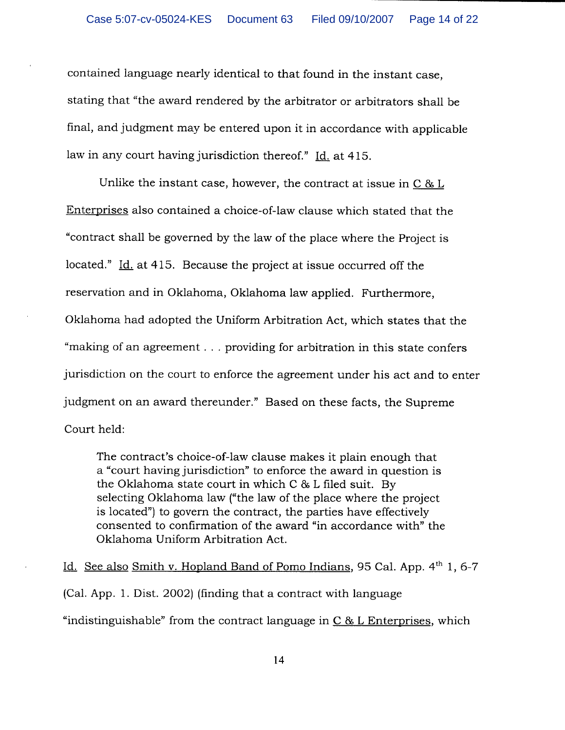contained language nearly identical to that found in the instant case, stating that "the award rendered by the arbitrator or arbitrators shall be final, and judgment may be entered upon it in accordance with applicable law in any court having jurisdiction thereof." Id. at 415.

Unlike the instant case, however, the contract at issue in  $C \& L$ Enterprises also contained a choice-of-law clause which stated that the "contract shall be governed by the law of the place where the Project is located." Id. at 415. Because the project at issue occurred off the reservation and in Oklahoma, Oklahoma law applied. Furthermore, Oklahoma had adopted the Uniform Arbitration Act, which states that the "making of an agreement . . . providing for arbitration in this state confers jurisdiction on the court to enforce the agreement under his act and to enter judgment on an award thereunder." Based on these facts, the Supreme Court held:

The contract's choice-of-law clause makes it plain enough that a "court having jurisdiction" to enforce the award in question is the Oklahoma state court in which C & L filed suit. By selecting Oklahoma law ("the law of the place where the project is located") to govern the contract, the parties have effectively consented to confirmation of the award "in accordance with" the Oklahoma Uniform Arbitration Act.

Id. See also Smith v. Hopland Band of Pomo Indians, 95 Cal. App. 4<sup>th</sup> 1, 6-7 (Cal. App. 1. Dist. 2002) (finding that a contract with language "indistinguishable" from the contract language in  $C & L$  Enterprises, which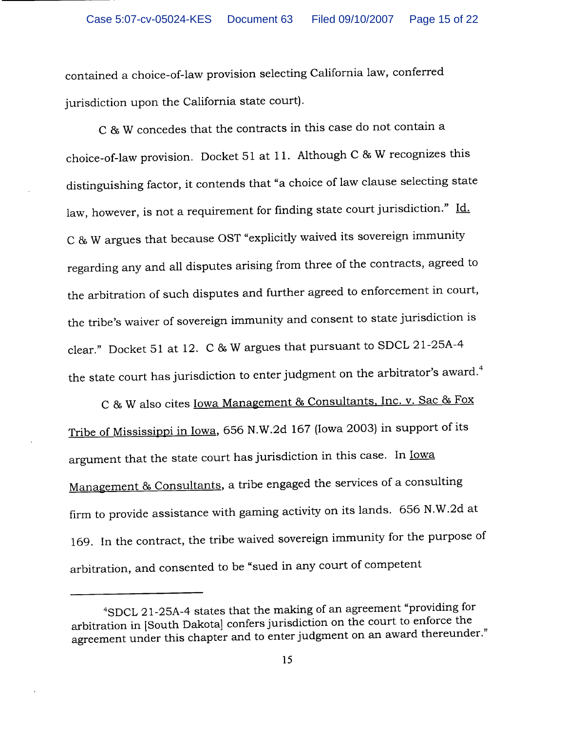contained a choice-of-law provision selecting California law, conferred jurisdiction upon the California state court).

C & W concedes that the contracts in this case do not contain a choice-of-law provision. Docket 51 at 11. Although C & W recognizes this distinguishing factor, it contends that "a choice of law clause selecting state law, however, is not a requirement for finding state court jurisdiction." Id. C & W argues that because OST "explicitly waived its sovereign immunity regarding any and all disputes arising from three of the contracts, agreed to the arbitration of such disputes and further agreed to enforcement in court, the tribe's waiver of sovereign immunity and consent to state jurisdiction is clear." Docket 51 at 12. C & W argues that pursuant to SDCL 21-25A-4 the state court has jurisdiction to enter judgment on the arbitrator's award.<sup>4</sup>

C & W also cites <u>Iowa Management & Consultants, Inc. v. Sac & Fox</u> Tribe of Mississippi in Iowa, 656 N.W.2d 167 (Iowa 2003) in support of its argument that the state court has jurisdiction in this case. In lowa Management & Consultants, a tribe engaged the services of a consulting firm to provide assistance with gaming activity on its lands. 656 N.W.2d at 169. In the contract, the tribe waived sovereign immunity for the purpose of arbitration, and consented to be "sued in any court of competent

<sup>&</sup>lt;sup>4</sup>SDCL 21-25A-4 states that the making of an agreement "providing for arbitration in [South Dakota] confers jurisdiction on the court to enforce the agreement under this chapter and to enter judgment on an award thereunder."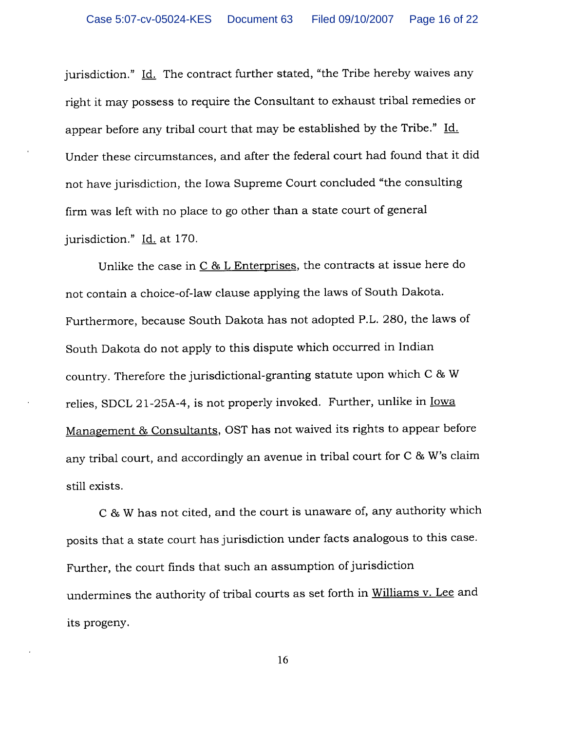jurisdiction." Id. The contract further stated, "the Tribe hereby waives any right it may possess to require the Consultant to exhaust tribal remedies or appear before any tribal court that may be established by the Tribe." Id. Under these circumstances, and after the federal court had found that it did not have jurisdiction, the Iowa Supreme Court concluded "the consulting firm was left with no place to go other than a state court of general jurisdiction." Id. at 170.

Unlike the case in C & L Enterprises, the contracts at issue here do not contain a choice-of-law clause applying the laws of South Dakota. Furthermore, because South Dakota has not adopted P.L. 280, the laws of South Dakota do not apply to this dispute which occurred in Indian country. Therefore the jurisdictional-granting statute upon which C & W relies, SDCL 21-25A-4, is not properly invoked. Further, unlike in lowa Management & Consultants, OST has not waived its rights to appear before any tribal court, and accordingly an avenue in tribal court for C & W's claim still exists.

C & W has not cited, and the court is unaware of, any authority which posits that a state court has jurisdiction under facts analogous to this case. Further, the court finds that such an assumption of jurisdiction undermines the authority of tribal courts as set forth in Williams v. Lee and its progeny.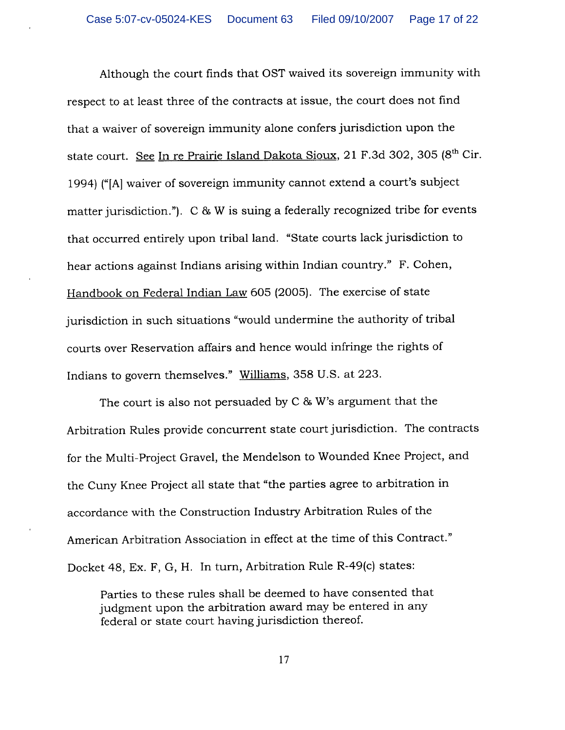Although the court finds that OST waived its sovereign immunity with respect to at least three of the contracts at issue, the court does not find that a waiver of sovereign immunity alone confers jurisdiction upon the state court. See In re Prairie Island Dakota Sioux, 21 F.3d 302, 305 (8th Cir. 1994) ("[A] waiver of sovereign immunity cannot extend a court's subject matter jurisdiction."). C & W is suing a federally recognized tribe for events that occurred entirely upon tribal land. "State courts lack jurisdiction to hear actions against Indians arising within Indian country." F. Cohen, Handbook on Federal Indian Law 605 (2005). The exercise of state jurisdiction in such situations "would undermine the authority of tribal courts over Reservation affairs and hence would infringe the rights of Indians to govern themselves." Williams, 358 U.S. at 223.

The court is also not persuaded by  $C & W$ 's argument that the Arbitration Rules provide concurrent state court jurisdiction. The contracts for the Multi-Project Gravel, the Mendelson to Wounded Knee Project, and the Cuny Knee Project all state that "the parties agree to arbitration in accordance with the Construction Industry Arbitration Rules of the American Arbitration Association in effect at the time of this Contract." Docket 48, Ex. F, G, H. In turn, Arbitration Rule R-49(c) states:

Parties to these rules shall be deemed to have consented that judgment upon the arbitration award may be entered in any federal or state court having jurisdiction thereof.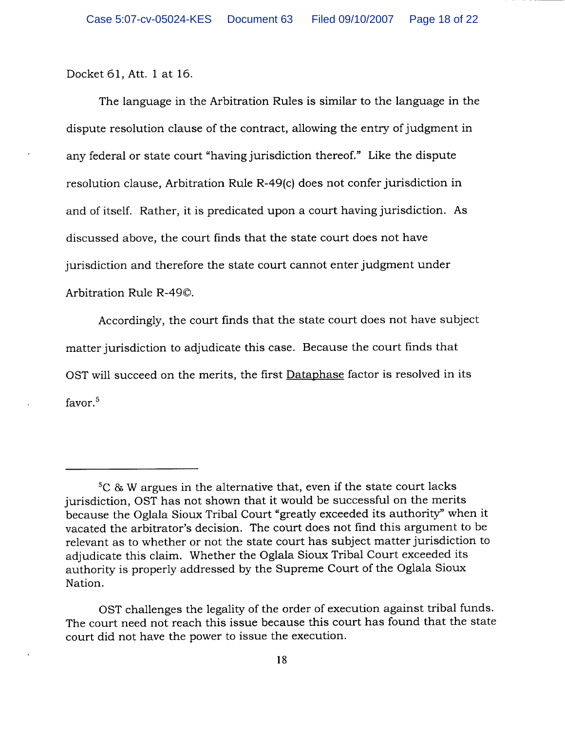Docket 61, Att. 1 at 16.

The language in the Arbitration Rules is similar to the language in the dispute resolution clause of the contract, allowing the entry of judgment in any federal or state court "having jurisdiction thereof." Like the dispute resolution clause, Arbitration Rule R-49(c) does not confer jurisdiction in and of itself. Rather, it is predicated upon a court having jurisdiction. As discussed above, the court finds that the state court does not have jurisdiction and therefore the state court cannot enter judgment under Arbitration Rule R-490.

Accordingly, the court finds that the state court does not have subject matter jurisdiction to adjudicate this case. Because the court finds that OST will succeed on the merits, the first Dataphase factor is resolved in its favor. $5$ 

 ${}^{5}C$  & W argues in the alternative that, even if the state court lacks jurisdiction, OST has not shown that it would be successful on the merits because the Oglala Sioux Tribal Court "greatly exceeded its authority" when it vacated the arbitrator's decision. The court does not find this argument to be relevant as to whether or not the state court has subject matter jurisdiction to adjudicate this claim. Whether the Oglala Sioux Tribal Court exceeded its authority is properly addressed by the Supreme Court of the Oglala Sioux Nation.

OST challenges the legality of the order of execution against tribal funds. The court need not reach this issue because this court has found that the state court did not have the power to issue the execution.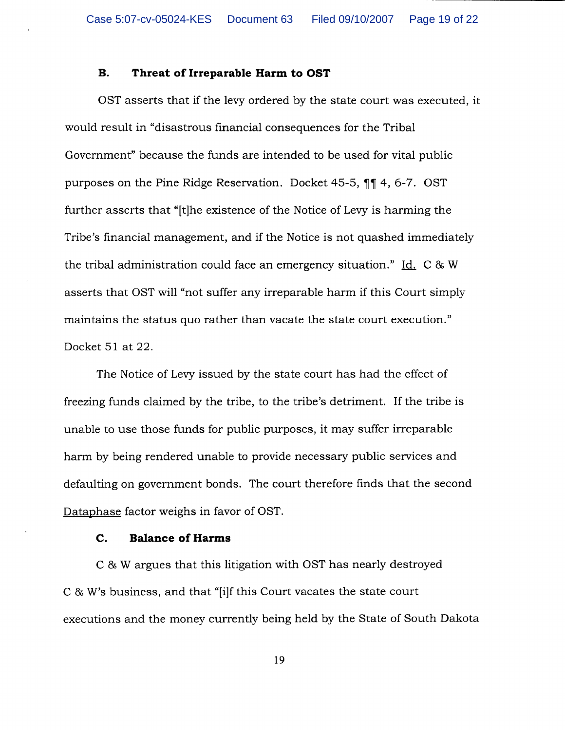### $\mathbf{B}$ . Threat of Irreparable Harm to OST

OST asserts that if the levy ordered by the state court was executed, it would result in "disastrous financial consequences for the Tribal Government" because the funds are intended to be used for vital public purposes on the Pine Ridge Reservation. Docket 45-5, 11 4, 6-7. OST further asserts that "[t]he existence of the Notice of Levy is harming the Tribe's financial management, and if the Notice is not quashed immediately the tribal administration could face an emergency situation." Id. C & W asserts that OST will "not suffer any irreparable harm if this Court simply maintains the status quo rather than vacate the state court execution." Docket 51 at 22.

The Notice of Levy issued by the state court has had the effect of freezing funds claimed by the tribe, to the tribe's detriment. If the tribe is unable to use those funds for public purposes, it may suffer irreparable harm by being rendered unable to provide necessary public services and defaulting on government bonds. The court therefore finds that the second Dataphase factor weighs in favor of OST.

### **Balance of Harms** C.

C & W argues that this litigation with OST has nearly destroyed C & W's business, and that "[i]f this Court vacates the state court executions and the money currently being held by the State of South Dakota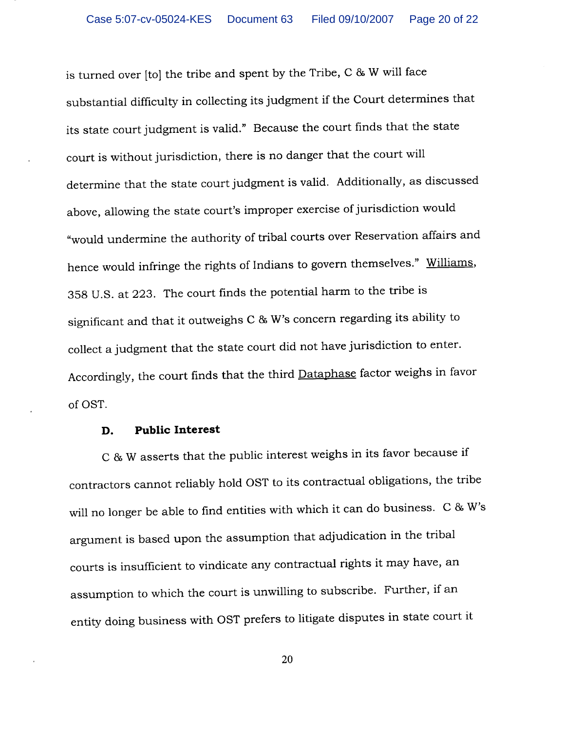is turned over [to] the tribe and spent by the Tribe, C & W will face substantial difficulty in collecting its judgment if the Court determines that its state court judgment is valid." Because the court finds that the state court is without jurisdiction, there is no danger that the court will determine that the state court judgment is valid. Additionally, as discussed above, allowing the state court's improper exercise of jurisdiction would "would undermine the authority of tribal courts over Reservation affairs and hence would infringe the rights of Indians to govern themselves." Williams, 358 U.S. at 223. The court finds the potential harm to the tribe is significant and that it outweighs C & W's concern regarding its ability to collect a judgment that the state court did not have jurisdiction to enter. Accordingly, the court finds that the third Dataphase factor weighs in favor of OST.

#### **Public Interest** D.

C & W asserts that the public interest weighs in its favor because if contractors cannot reliably hold OST to its contractual obligations, the tribe will no longer be able to find entities with which it can do business. C & W's argument is based upon the assumption that adjudication in the tribal courts is insufficient to vindicate any contractual rights it may have, an assumption to which the court is unwilling to subscribe. Further, if an entity doing business with OST prefers to litigate disputes in state court it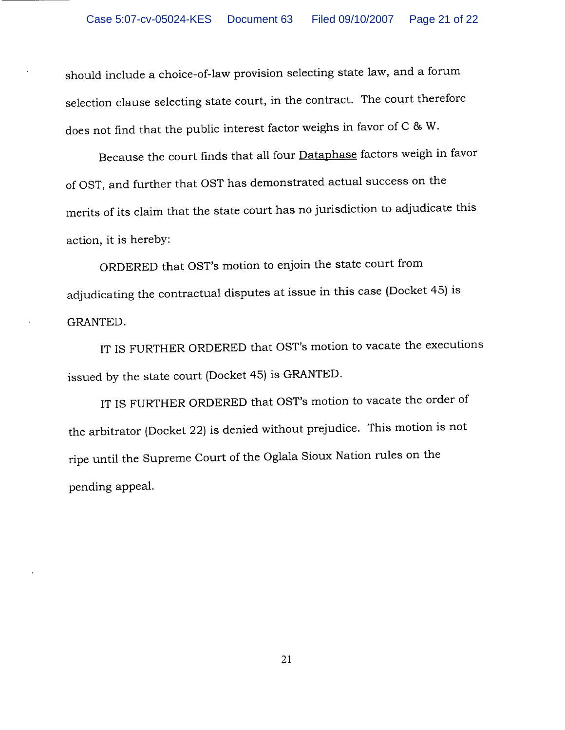should include a choice-of-law provision selecting state law, and a forum selection clause selecting state court, in the contract. The court therefore does not find that the public interest factor weighs in favor of C & W.

Because the court finds that all four **Dataphase** factors weigh in favor of OST, and further that OST has demonstrated actual success on the merits of its claim that the state court has no jurisdiction to adjudicate this action, it is hereby:

ORDERED that OST's motion to enjoin the state court from adjudicating the contractual disputes at issue in this case (Docket 45) is GRANTED.

IT IS FURTHER ORDERED that OST's motion to vacate the executions issued by the state court (Docket 45) is GRANTED.

IT IS FURTHER ORDERED that OST's motion to vacate the order of the arbitrator (Docket 22) is denied without prejudice. This motion is not ripe until the Supreme Court of the Oglala Sioux Nation rules on the pending appeal.